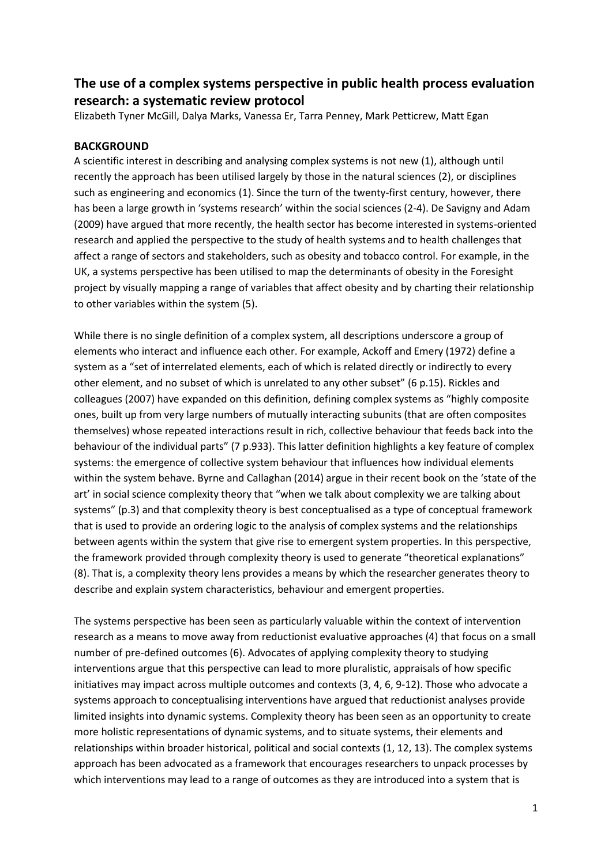# **The use of a complex systems perspective in public health process evaluation research: a systematic review protocol**

Elizabeth Tyner McGill, Dalya Marks, Vanessa Er, Tarra Penney, Mark Petticrew, Matt Egan

# **BACKGROUND**

A scientific interest in describing and analysing complex systems is not new (1), although until recently the approach has been utilised largely by those in the natural sciences (2), or disciplines such as engineering and economics (1). Since the turn of the twenty-first century, however, there has been a large growth in 'systems research' within the social sciences (2-4). De Savigny and Adam (2009) have argued that more recently, the health sector has become interested in systems-oriented research and applied the perspective to the study of health systems and to health challenges that affect a range of sectors and stakeholders, such as obesity and tobacco control. For example, in the UK, a systems perspective has been utilised to map the determinants of obesity in the Foresight project by visually mapping a range of variables that affect obesity and by charting their relationship to other variables within the system (5).

While there is no single definition of a complex system, all descriptions underscore a group of elements who interact and influence each other. For example, Ackoff and Emery (1972) define a system as a "set of interrelated elements, each of which is related directly or indirectly to every other element, and no subset of which is unrelated to any other subset" (6 p.15). Rickles and colleagues (2007) have expanded on this definition, defining complex systems as "highly composite ones, built up from very large numbers of mutually interacting subunits (that are often composites themselves) whose repeated interactions result in rich, collective behaviour that feeds back into the behaviour of the individual parts" (7 p.933). This latter definition highlights a key feature of complex systems: the emergence of collective system behaviour that influences how individual elements within the system behave. Byrne and Callaghan (2014) argue in their recent book on the 'state of the art' in social science complexity theory that "when we talk about complexity we are talking about systems" (p.3) and that complexity theory is best conceptualised as a type of conceptual framework that is used to provide an ordering logic to the analysis of complex systems and the relationships between agents within the system that give rise to emergent system properties. In this perspective, the framework provided through complexity theory is used to generate "theoretical explanations" (8). That is, a complexity theory lens provides a means by which the researcher generates theory to describe and explain system characteristics, behaviour and emergent properties.

The systems perspective has been seen as particularly valuable within the context of intervention research as a means to move away from reductionist evaluative approaches (4) that focus on a small number of pre-defined outcomes (6). Advocates of applying complexity theory to studying interventions argue that this perspective can lead to more pluralistic, appraisals of how specific initiatives may impact across multiple outcomes and contexts (3, 4, 6, 9-12). Those who advocate a systems approach to conceptualising interventions have argued that reductionist analyses provide limited insights into dynamic systems. Complexity theory has been seen as an opportunity to create more holistic representations of dynamic systems, and to situate systems, their elements and relationships within broader historical, political and social contexts (1, 12, 13). The complex systems approach has been advocated as a framework that encourages researchers to unpack processes by which interventions may lead to a range of outcomes as they are introduced into a system that is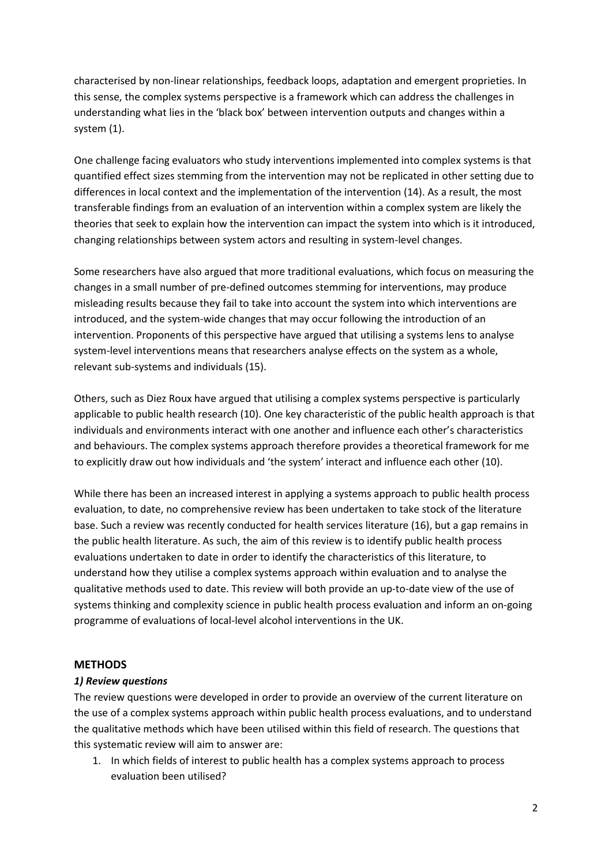characterised by non-linear relationships, feedback loops, adaptation and emergent proprieties. In this sense, the complex systems perspective is a framework which can address the challenges in understanding what lies in the 'black box' between intervention outputs and changes within a system (1).

One challenge facing evaluators who study interventions implemented into complex systems is that quantified effect sizes stemming from the intervention may not be replicated in other setting due to differences in local context and the implementation of the intervention (14). As a result, the most transferable findings from an evaluation of an intervention within a complex system are likely the theories that seek to explain how the intervention can impact the system into which is it introduced, changing relationships between system actors and resulting in system-level changes.

Some researchers have also argued that more traditional evaluations, which focus on measuring the changes in a small number of pre-defined outcomes stemming for interventions, may produce misleading results because they fail to take into account the system into which interventions are introduced, and the system-wide changes that may occur following the introduction of an intervention. Proponents of this perspective have argued that utilising a systems lens to analyse system-level interventions means that researchers analyse effects on the system as a whole, relevant sub-systems and individuals (15).

Others, such as Diez Roux have argued that utilising a complex systems perspective is particularly applicable to public health research (10). One key characteristic of the public health approach is that individuals and environments interact with one another and influence each other's characteristics and behaviours. The complex systems approach therefore provides a theoretical framework for me to explicitly draw out how individuals and 'the system' interact and influence each other (10).

While there has been an increased interest in applying a systems approach to public health process evaluation, to date, no comprehensive review has been undertaken to take stock of the literature base. Such a review was recently conducted for health services literature (16), but a gap remains in the public health literature. As such, the aim of this review is to identify public health process evaluations undertaken to date in order to identify the characteristics of this literature, to understand how they utilise a complex systems approach within evaluation and to analyse the qualitative methods used to date. This review will both provide an up-to-date view of the use of systems thinking and complexity science in public health process evaluation and inform an on-going programme of evaluations of local-level alcohol interventions in the UK.

## **METHODS**

#### *1) Review questions*

The review questions were developed in order to provide an overview of the current literature on the use of a complex systems approach within public health process evaluations, and to understand the qualitative methods which have been utilised within this field of research. The questions that this systematic review will aim to answer are:

1. In which fields of interest to public health has a complex systems approach to process evaluation been utilised?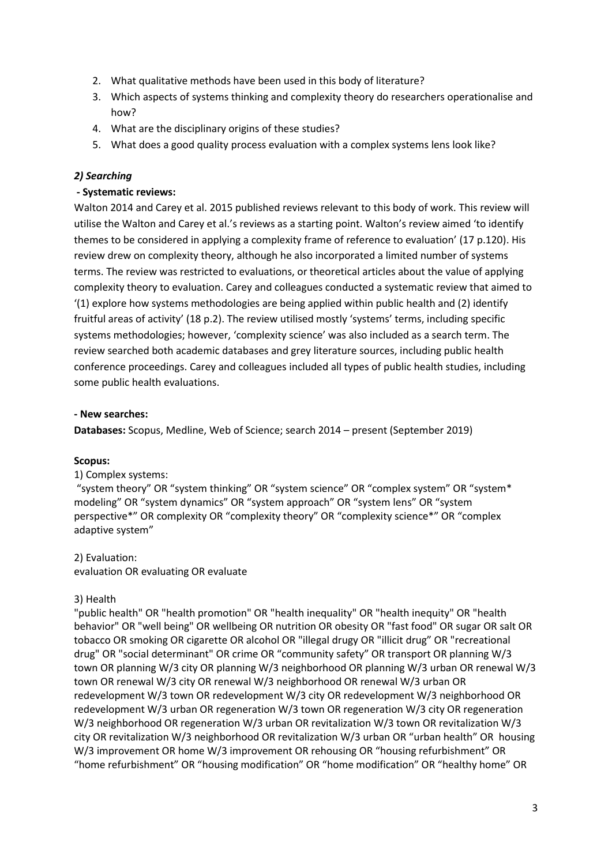- 2. What qualitative methods have been used in this body of literature?
- 3. Which aspects of systems thinking and complexity theory do researchers operationalise and how?
- 4. What are the disciplinary origins of these studies?
- 5. What does a good quality process evaluation with a complex systems lens look like?

# *2) Searching*

## **- Systematic reviews:**

Walton 2014 and Carey et al. 2015 published reviews relevant to this body of work. This review will utilise the Walton and Carey et al.'s reviews as a starting point. Walton's review aimed 'to identify themes to be considered in applying a complexity frame of reference to evaluation' (17 p.120). His review drew on complexity theory, although he also incorporated a limited number of systems terms. The review was restricted to evaluations, or theoretical articles about the value of applying complexity theory to evaluation. Carey and colleagues conducted a systematic review that aimed to '(1) explore how systems methodologies are being applied within public health and (2) identify fruitful areas of activity' (18 p.2). The review utilised mostly 'systems' terms, including specific systems methodologies; however, 'complexity science' was also included as a search term. The review searched both academic databases and grey literature sources, including public health conference proceedings. Carey and colleagues included all types of public health studies, including some public health evaluations.

## **- New searches:**

**Databases:** Scopus, Medline, Web of Science; search 2014 – present (September 2019)

## **Scopus:**

#### 1) Complex systems:

"system theory" OR "system thinking" OR "system science" OR "complex system" OR "system\* modeling" OR "system dynamics" OR "system approach" OR "system lens" OR "system perspective\*" OR complexity OR "complexity theory" OR "complexity science\*" OR "complex adaptive system"

#### 2) Evaluation:

evaluation OR evaluating OR evaluate

## 3) Health

"public health" OR "health promotion" OR "health inequality" OR "health inequity" OR "health behavior" OR "well being" OR wellbeing OR nutrition OR obesity OR "fast food" OR sugar OR salt OR tobacco OR smoking OR cigarette OR alcohol OR "illegal drugy OR "illicit drug" OR "recreational drug" OR "social determinant" OR crime OR "community safety" OR transport OR planning W/3 town OR planning W/3 city OR planning W/3 neighborhood OR planning W/3 urban OR renewal W/3 town OR renewal W/3 city OR renewal W/3 neighborhood OR renewal W/3 urban OR redevelopment W/3 town OR redevelopment W/3 city OR redevelopment W/3 neighborhood OR redevelopment W/3 urban OR regeneration W/3 town OR regeneration W/3 city OR regeneration W/3 neighborhood OR regeneration W/3 urban OR revitalization W/3 town OR revitalization W/3 city OR revitalization W/3 neighborhood OR revitalization W/3 urban OR "urban health" OR housing W/3 improvement OR home W/3 improvement OR rehousing OR "housing refurbishment" OR "home refurbishment" OR "housing modification" OR "home modification" OR "healthy home" OR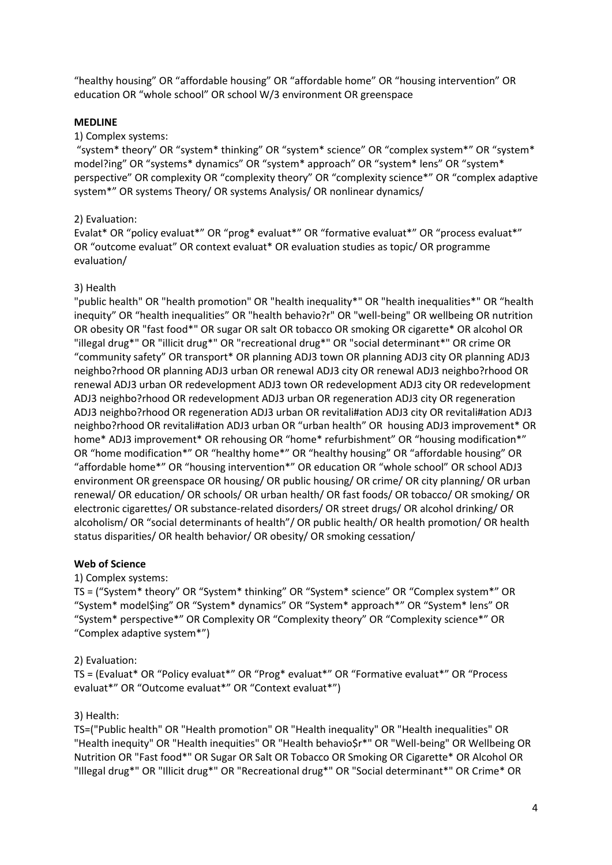"healthy housing" OR "affordable housing" OR "affordable home" OR "housing intervention" OR education OR "whole school" OR school W/3 environment OR greenspace

### **MEDLINE**

### 1) Complex systems:

"system\* theory" OR "system\* thinking" OR "system\* science" OR "complex system\*" OR "system\* model?ing" OR "systems\* dynamics" OR "system\* approach" OR "system\* lens" OR "system\* perspective" OR complexity OR "complexity theory" OR "complexity science\*" OR "complex adaptive system\*" OR systems Theory/ OR systems Analysis/ OR nonlinear dynamics/

### 2) Evaluation:

Evalat\* OR "policy evaluat\*" OR "prog\* evaluat\*" OR "formative evaluat\*" OR "process evaluat\*" OR "outcome evaluat" OR context evaluat\* OR evaluation studies as topic/ OR programme evaluation/

### 3) Health

"public health" OR "health promotion" OR "health inequality\*" OR "health inequalities\*" OR "health inequity" OR "health inequalities" OR "health behavio?r" OR "well-being" OR wellbeing OR nutrition OR obesity OR "fast food\*" OR sugar OR salt OR tobacco OR smoking OR cigarette\* OR alcohol OR "illegal drug\*" OR "illicit drug\*" OR "recreational drug\*" OR "social determinant\*" OR crime OR "community safety" OR transport\* OR planning ADJ3 town OR planning ADJ3 city OR planning ADJ3 neighbo?rhood OR planning ADJ3 urban OR renewal ADJ3 city OR renewal ADJ3 neighbo?rhood OR renewal ADJ3 urban OR redevelopment ADJ3 town OR redevelopment ADJ3 city OR redevelopment ADJ3 neighbo?rhood OR redevelopment ADJ3 urban OR regeneration ADJ3 city OR regeneration ADJ3 neighbo?rhood OR regeneration ADJ3 urban OR revitali#ation ADJ3 city OR revitali#ation ADJ3 neighbo?rhood OR revitali#ation ADJ3 urban OR "urban health" OR housing ADJ3 improvement\* OR home\* ADJ3 improvement\* OR rehousing OR "home\* refurbishment" OR "housing modification\*" OR "home modification\*" OR "healthy home\*" OR "healthy housing" OR "affordable housing" OR "affordable home\*" OR "housing intervention\*" OR education OR "whole school" OR school ADJ3 environment OR greenspace OR housing/ OR public housing/ OR crime/ OR city planning/ OR urban renewal/ OR education/ OR schools/ OR urban health/ OR fast foods/ OR tobacco/ OR smoking/ OR electronic cigarettes/ OR substance-related disorders/ OR street drugs/ OR alcohol drinking/ OR alcoholism/ OR "social determinants of health"/ OR public health/ OR health promotion/ OR health status disparities/ OR health behavior/ OR obesity/ OR smoking cessation/

#### **Web of Science**

### 1) Complex systems:

TS = ("System\* theory" OR "System\* thinking" OR "System\* science" OR "Complex system\*" OR "System\* model\$ing" OR "System\* dynamics" OR "System\* approach\*" OR "System\* lens" OR "System\* perspective\*" OR Complexity OR "Complexity theory" OR "Complexity science\*" OR "Complex adaptive system\*")

#### 2) Evaluation:

TS = (Evaluat\* OR "Policy evaluat\*" OR "Prog\* evaluat\*" OR "Formative evaluat\*" OR "Process evaluat\*" OR "Outcome evaluat\*" OR "Context evaluat\*")

#### 3) Health:

TS=("Public health" OR "Health promotion" OR "Health inequality" OR "Health inequalities" OR "Health inequity" OR "Health inequities" OR "Health behavio\$r\*" OR "Well-being" OR Wellbeing OR Nutrition OR "Fast food\*" OR Sugar OR Salt OR Tobacco OR Smoking OR Cigarette\* OR Alcohol OR "Illegal drug\*" OR "Illicit drug\*" OR "Recreational drug\*" OR "Social determinant\*" OR Crime\* OR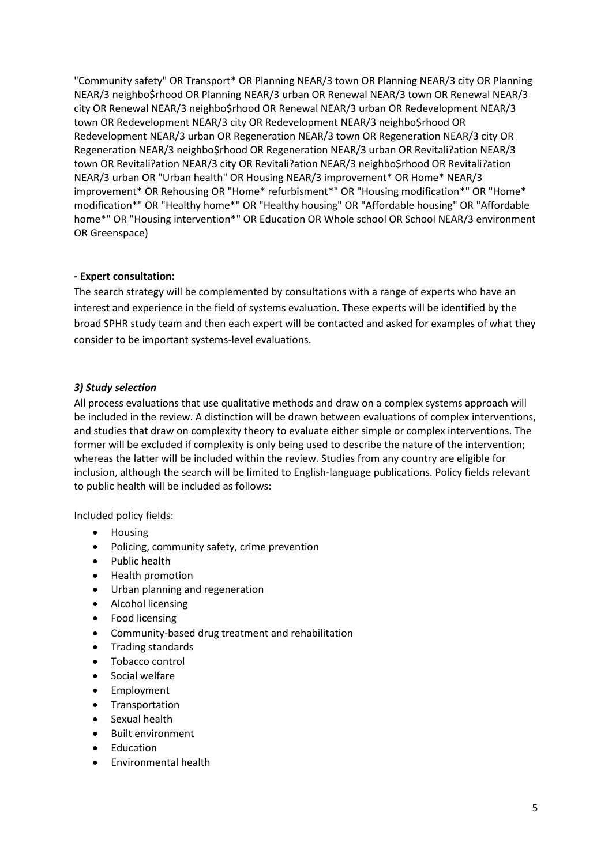"Community safety" OR Transport\* OR Planning NEAR/3 town OR Planning NEAR/3 city OR Planning NEAR/3 neighbo\$rhood OR Planning NEAR/3 urban OR Renewal NEAR/3 town OR Renewal NEAR/3 city OR Renewal NEAR/3 neighbo\$rhood OR Renewal NEAR/3 urban OR Redevelopment NEAR/3 town OR Redevelopment NEAR/3 city OR Redevelopment NEAR/3 neighbo\$rhood OR Redevelopment NEAR/3 urban OR Regeneration NEAR/3 town OR Regeneration NEAR/3 city OR Regeneration NEAR/3 neighbo\$rhood OR Regeneration NEAR/3 urban OR Revitali?ation NEAR/3 town OR Revitali?ation NEAR/3 city OR Revitali?ation NEAR/3 neighbo\$rhood OR Revitali?ation NEAR/3 urban OR "Urban health" OR Housing NEAR/3 improvement\* OR Home\* NEAR/3 improvement\* OR Rehousing OR "Home\* refurbisment\*" OR "Housing modification\*" OR "Home\* modification\*" OR "Healthy home\*" OR "Healthy housing" OR "Affordable housing" OR "Affordable home\*" OR "Housing intervention\*" OR Education OR Whole school OR School NEAR/3 environment OR Greenspace)

# **- Expert consultation:**

The search strategy will be complemented by consultations with a range of experts who have an interest and experience in the field of systems evaluation. These experts will be identified by the broad SPHR study team and then each expert will be contacted and asked for examples of what they consider to be important systems-level evaluations.

# *3) Study selection*

All process evaluations that use qualitative methods and draw on a complex systems approach will be included in the review. A distinction will be drawn between evaluations of complex interventions, and studies that draw on complexity theory to evaluate either simple or complex interventions. The former will be excluded if complexity is only being used to describe the nature of the intervention; whereas the latter will be included within the review. Studies from any country are eligible for inclusion, although the search will be limited to English-language publications. Policy fields relevant to public health will be included as follows:

Included policy fields:

- Housing
- Policing, community safety, crime prevention
- Public health
- Health promotion
- Urban planning and regeneration
- Alcohol licensing
- Food licensing
- Community-based drug treatment and rehabilitation
- Trading standards
- Tobacco control
- Social welfare
- Employment
- Transportation
- Sexual health
- Built environment
- Education
- Environmental health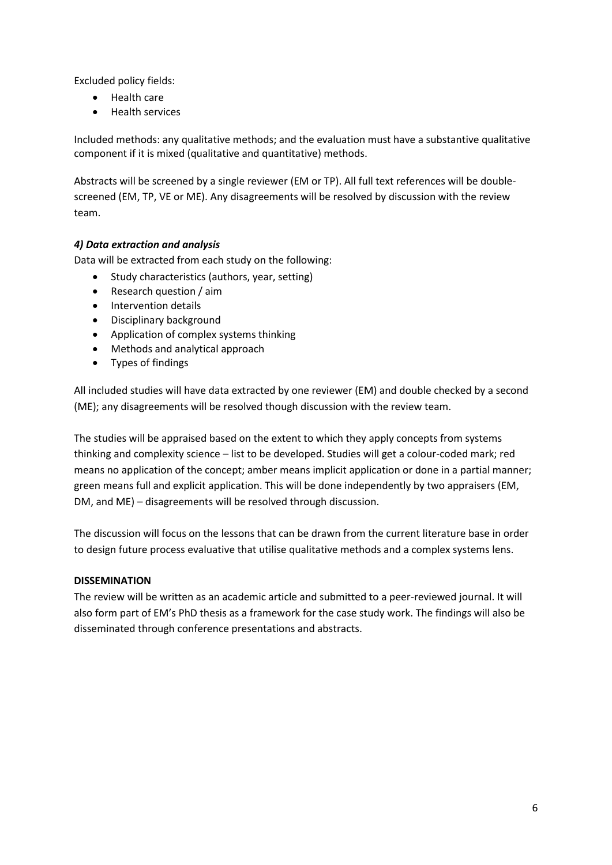Excluded policy fields:

- Health care
- Health services

Included methods: any qualitative methods; and the evaluation must have a substantive qualitative component if it is mixed (qualitative and quantitative) methods.

Abstracts will be screened by a single reviewer (EM or TP). All full text references will be doublescreened (EM, TP, VE or ME). Any disagreements will be resolved by discussion with the review team.

# *4) Data extraction and analysis*

Data will be extracted from each study on the following:

- Study characteristics (authors, year, setting)
- Research question / aim
- Intervention details
- Disciplinary background
- Application of complex systems thinking
- Methods and analytical approach
- Types of findings

All included studies will have data extracted by one reviewer (EM) and double checked by a second (ME); any disagreements will be resolved though discussion with the review team.

The studies will be appraised based on the extent to which they apply concepts from systems thinking and complexity science – list to be developed. Studies will get a colour-coded mark; red means no application of the concept; amber means implicit application or done in a partial manner; green means full and explicit application. This will be done independently by two appraisers (EM, DM, and ME) – disagreements will be resolved through discussion.

The discussion will focus on the lessons that can be drawn from the current literature base in order to design future process evaluative that utilise qualitative methods and a complex systems lens.

# **DISSEMINATION**

The review will be written as an academic article and submitted to a peer-reviewed journal. It will also form part of EM's PhD thesis as a framework for the case study work. The findings will also be disseminated through conference presentations and abstracts.